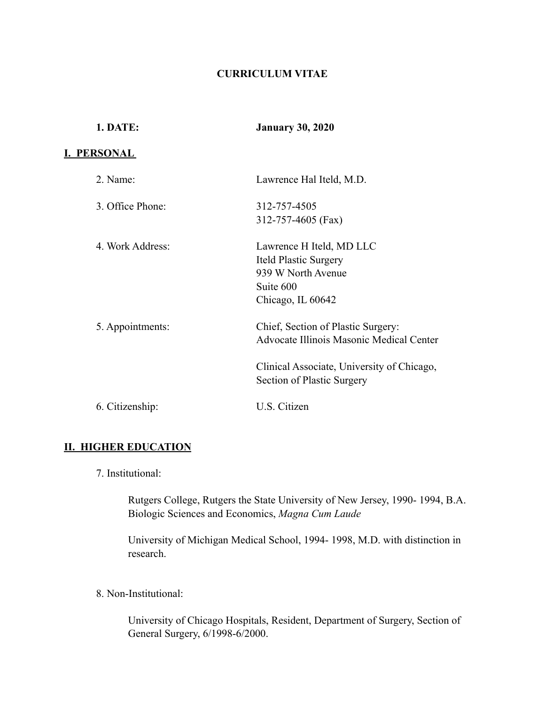# **CURRICULUM VITAE**

| 1. DATE:           | <b>January 30, 2020</b>                                                                                          |
|--------------------|------------------------------------------------------------------------------------------------------------------|
| <u>I. PERSONAL</u> |                                                                                                                  |
| 2. Name:           | Lawrence Hal Iteld, M.D.                                                                                         |
| 3. Office Phone:   | 312-757-4505<br>312-757-4605 (Fax)                                                                               |
| 4. Work Address:   | Lawrence H Iteld, MD LLC<br><b>Iteld Plastic Surgery</b><br>939 W North Avenue<br>Suite 600<br>Chicago, IL 60642 |
| 5. Appointments:   | Chief, Section of Plastic Surgery:<br>Advocate Illinois Masonic Medical Center                                   |
|                    | Clinical Associate, University of Chicago,<br>Section of Plastic Surgery                                         |
| 6. Citizenship:    | U.S. Citizen                                                                                                     |
|                    |                                                                                                                  |

# **II. HIGHER EDUCATION**

7. Institutional:

Rutgers College, Rutgers the State University of New Jersey, 1990- 1994, B.A. Biologic Sciences and Economics, *Magna Cum Laude*

University of Michigan Medical School, 1994- 1998, M.D. with distinction in research.

8. Non-Institutional:

University of Chicago Hospitals, Resident, Department of Surgery, Section of General Surgery, 6/1998-6/2000.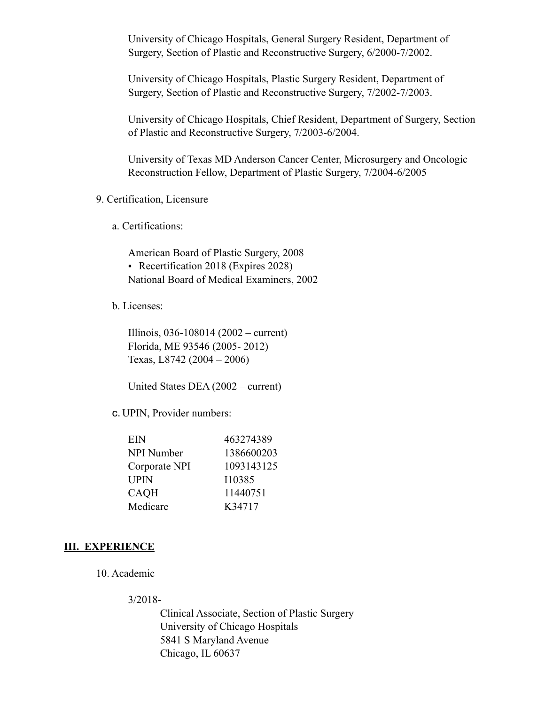University of Chicago Hospitals, General Surgery Resident, Department of Surgery, Section of Plastic and Reconstructive Surgery, 6/2000-7/2002.

University of Chicago Hospitals, Plastic Surgery Resident, Department of Surgery, Section of Plastic and Reconstructive Surgery, 7/2002-7/2003.

University of Chicago Hospitals, Chief Resident, Department of Surgery, Section of Plastic and Reconstructive Surgery, 7/2003-6/2004.

University of Texas MD Anderson Cancer Center, Microsurgery and Oncologic Reconstruction Fellow, Department of Plastic Surgery, 7/2004-6/2005

9. Certification, Licensure

a. Certifications:

American Board of Plastic Surgery, 2008 • Recertification 2018 (Expires 2028) National Board of Medical Examiners, 2002

b. Licenses:

Illinois, 036-108014 (2002 – current) Florida, ME 93546 (2005- 2012) Texas, L8742 (2004 – 2006)

United States DEA (2002 – current)

c. UPIN, Provider numbers:

| 463274389  |
|------------|
| 1386600203 |
| 1093143125 |
| I10385     |
| 11440751   |
| K34717     |
|            |

### **III. EXPERIENCE**

10. Academic

3/2018-

Clinical Associate, Section of Plastic Surgery University of Chicago Hospitals 5841 S Maryland Avenue Chicago, IL 60637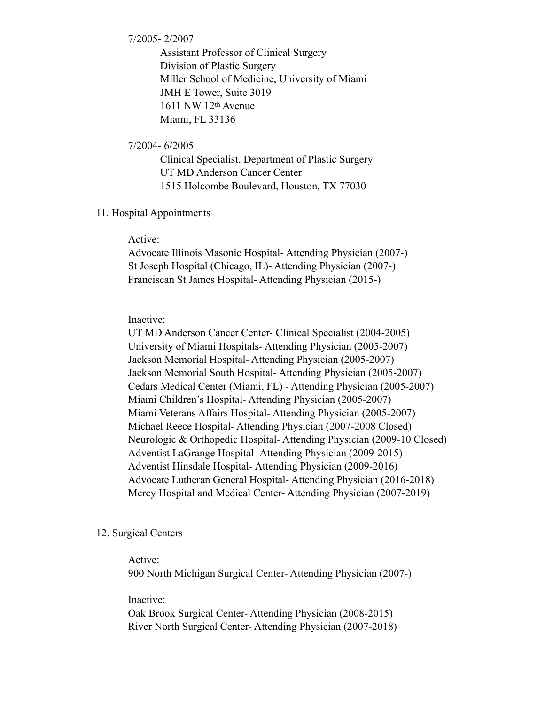### 7/2005- 2/2007

Assistant Professor of Clinical Surgery Division of Plastic Surgery Miller School of Medicine, University of Miami JMH E Tower, Suite 3019 1611 NW 12th Avenue Miami, FL 33136

### 7/2004- 6/2005

Clinical Specialist, Department of Plastic Surgery UT MD Anderson Cancer Center 1515 Holcombe Boulevard, Houston, TX 77030

### 11. Hospital Appointments

#### Active:

Advocate Illinois Masonic Hospital- Attending Physician (2007-) St Joseph Hospital (Chicago, IL)- Attending Physician (2007-) Franciscan St James Hospital- Attending Physician (2015-)

Inactive:

UT MD Anderson Cancer Center- Clinical Specialist (2004-2005) University of Miami Hospitals- Attending Physician (2005-2007) Jackson Memorial Hospital- Attending Physician (2005-2007) Jackson Memorial South Hospital- Attending Physician (2005-2007) Cedars Medical Center (Miami, FL) - Attending Physician (2005-2007) Miami Children's Hospital- Attending Physician (2005-2007) Miami Veterans Affairs Hospital- Attending Physician (2005-2007) Michael Reece Hospital- Attending Physician (2007-2008 Closed) Neurologic & Orthopedic Hospital- Attending Physician (2009-10 Closed) Adventist LaGrange Hospital- Attending Physician (2009-2015) Adventist Hinsdale Hospital- Attending Physician (2009-2016) Advocate Lutheran General Hospital- Attending Physician (2016-2018) Mercy Hospital and Medical Center- Attending Physician (2007-2019)

### 12. Surgical Centers

Active:

900 North Michigan Surgical Center- Attending Physician (2007-)

Inactive:

Oak Brook Surgical Center- Attending Physician (2008-2015) River North Surgical Center- Attending Physician (2007-2018)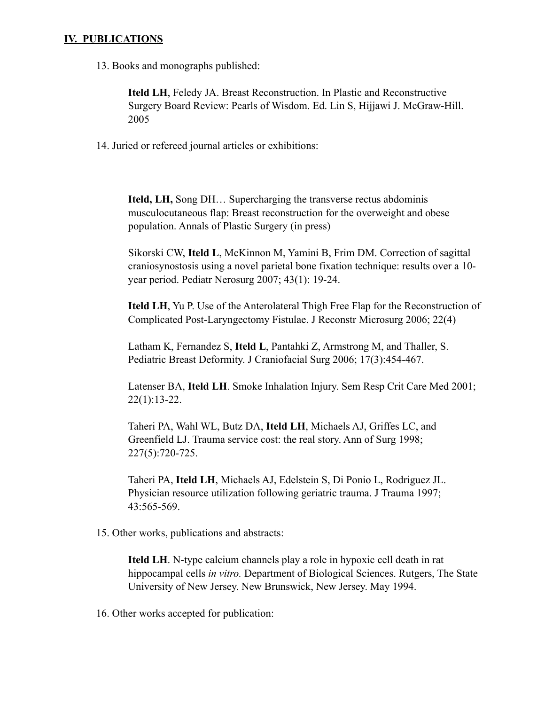## **IV. PUBLICATIONS**

13. Books and monographs published:

**Iteld LH**, Feledy JA. Breast Reconstruction. In Plastic and Reconstructive Surgery Board Review: Pearls of Wisdom. Ed. Lin S, Hijjawi J. McGraw-Hill. 2005

14. Juried or refereed journal articles or exhibitions:

**Iteld, LH,** Song DH… Supercharging the transverse rectus abdominis musculocutaneous flap: Breast reconstruction for the overweight and obese population. Annals of Plastic Surgery (in press)

Sikorski CW, **Iteld L**, McKinnon M, Yamini B, Frim DM. Correction of sagittal craniosynostosis using a novel parietal bone fixation technique: results over a 10 year period. Pediatr Nerosurg 2007; 43(1): 19-24.

**Iteld LH**, Yu P. Use of the Anterolateral Thigh Free Flap for the Reconstruction of Complicated Post-Laryngectomy Fistulae. J Reconstr Microsurg 2006; 22(4)

Latham K, Fernandez S, **Iteld L**, Pantahki Z, Armstrong M, and Thaller, S. Pediatric Breast Deformity. J Craniofacial Surg 2006; 17(3):454-467.

Latenser BA, **Iteld LH**. Smoke Inhalation Injury. Sem Resp Crit Care Med 2001; 22(1):13-22.

Taheri PA, Wahl WL, Butz DA, **Iteld LH**, Michaels AJ, Griffes LC, and Greenfield LJ. Trauma service cost: the real story. Ann of Surg 1998; 227(5):720-725.

Taheri PA, **Iteld LH**, Michaels AJ, Edelstein S, Di Ponio L, Rodriguez JL. Physician resource utilization following geriatric trauma. J Trauma 1997; 43:565-569.

15. Other works, publications and abstracts:

**Iteld LH**. N-type calcium channels play a role in hypoxic cell death in rat hippocampal cells *in vitro.* Department of Biological Sciences. Rutgers, The State University of New Jersey. New Brunswick, New Jersey. May 1994.

16. Other works accepted for publication: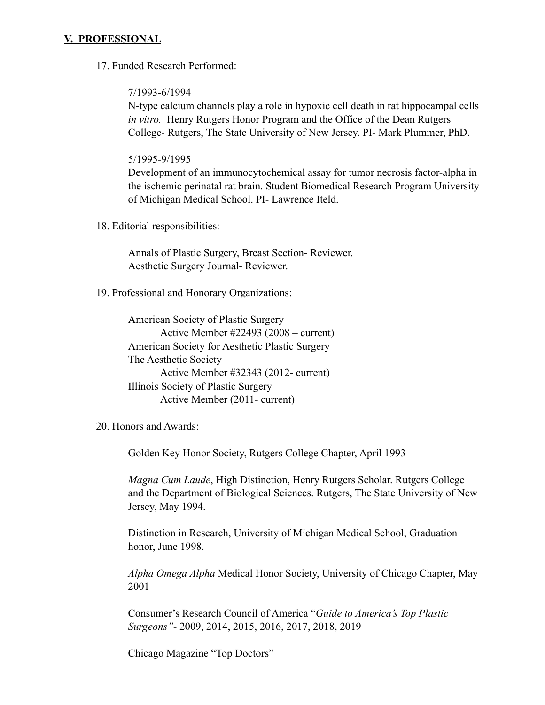## **V. PROFESSIONAL**

17. Funded Research Performed:

### 7/1993-6/1994

N-type calcium channels play a role in hypoxic cell death in rat hippocampal cells *in vitro.* Henry Rutgers Honor Program and the Office of the Dean Rutgers College- Rutgers, The State University of New Jersey. PI- Mark Plummer, PhD.

### 5/1995-9/1995

Development of an immunocytochemical assay for tumor necrosis factor-alpha in the ischemic perinatal rat brain. Student Biomedical Research Program University of Michigan Medical School. PI- Lawrence Iteld.

18. Editorial responsibilities:

Annals of Plastic Surgery, Breast Section- Reviewer. Aesthetic Surgery Journal- Reviewer.

19. Professional and Honorary Organizations:

American Society of Plastic Surgery Active Member #22493 (2008 – current) American Society for Aesthetic Plastic Surgery The Aesthetic Society Active Member #32343 (2012- current) Illinois Society of Plastic Surgery Active Member (2011- current)

## 20. Honors and Awards:

Golden Key Honor Society, Rutgers College Chapter, April 1993

*Magna Cum Laude*, High Distinction, Henry Rutgers Scholar. Rutgers College and the Department of Biological Sciences. Rutgers, The State University of New Jersey, May 1994.

Distinction in Research, University of Michigan Medical School, Graduation honor, June 1998.

*Alpha Omega Alpha* Medical Honor Society, University of Chicago Chapter, May 2001

Consumer's Research Council of America "*Guide to America's Top Plastic Surgeons"-* 2009, 2014, 2015, 2016, 2017, 2018, 2019

Chicago Magazine "Top Doctors"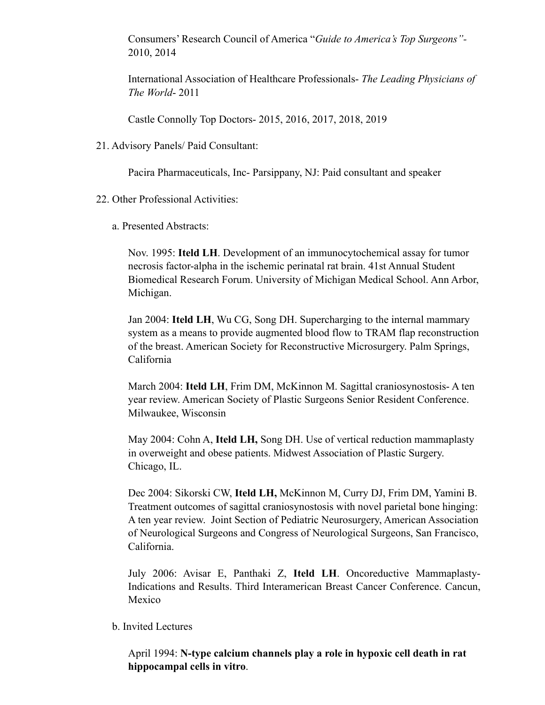Consumers' Research Council of America "*Guide to America's Top Surgeons"-*  2010, 2014

International Association of Healthcare Professionals- *The Leading Physicians of The World*- 2011

Castle Connolly Top Doctors- 2015, 2016, 2017, 2018, 2019

21. Advisory Panels/ Paid Consultant:

Pacira Pharmaceuticals, Inc- Parsippany, NJ: Paid consultant and speaker

- 22. Other Professional Activities:
	- a. Presented Abstracts:

Nov. 1995: **Iteld LH**. Development of an immunocytochemical assay for tumor necrosis factor-alpha in the ischemic perinatal rat brain. 41st Annual Student Biomedical Research Forum. University of Michigan Medical School. Ann Arbor, Michigan.

Jan 2004: **Iteld LH**, Wu CG, Song DH. Supercharging to the internal mammary system as a means to provide augmented blood flow to TRAM flap reconstruction of the breast. American Society for Reconstructive Microsurgery. Palm Springs, California

March 2004: **Iteld LH**, Frim DM, McKinnon M. Sagittal craniosynostosis- A ten year review. American Society of Plastic Surgeons Senior Resident Conference. Milwaukee, Wisconsin

May 2004: Cohn A, **Iteld LH,** Song DH. Use of vertical reduction mammaplasty in overweight and obese patients. Midwest Association of Plastic Surgery. Chicago, IL.

Dec 2004: Sikorski CW, **Iteld LH,** McKinnon M, Curry DJ, Frim DM, Yamini B. Treatment outcomes of sagittal craniosynostosis with novel parietal bone hinging: A ten year review. Joint Section of Pediatric Neurosurgery, American Association of Neurological Surgeons and Congress of Neurological Surgeons, San Francisco, California.

July 2006: Avisar E, Panthaki Z, **Iteld LH**. Oncoreductive Mammaplasty-Indications and Results. Third Interamerican Breast Cancer Conference. Cancun, Mexico

b. Invited Lectures

April 1994: **N-type calcium channels play a role in hypoxic cell death in rat hippocampal cells in vitro**.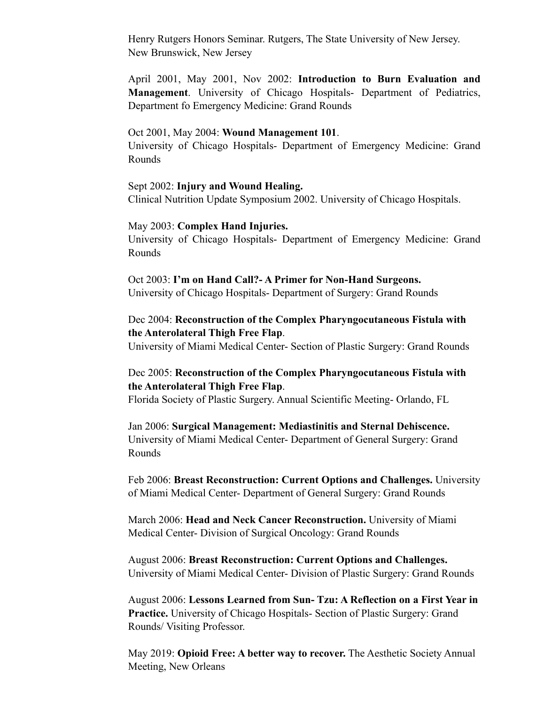Henry Rutgers Honors Seminar. Rutgers, The State University of New Jersey. New Brunswick, New Jersey

April 2001, May 2001, Nov 2002: **Introduction to Burn Evaluation and Management**. University of Chicago Hospitals- Department of Pediatrics, Department fo Emergency Medicine: Grand Rounds

#### Oct 2001, May 2004: **Wound Management 101**.

University of Chicago Hospitals- Department of Emergency Medicine: Grand Rounds

#### Sept 2002: **Injury and Wound Healing.**

Clinical Nutrition Update Symposium 2002. University of Chicago Hospitals.

#### May 2003: **Complex Hand Injuries.**

University of Chicago Hospitals- Department of Emergency Medicine: Grand Rounds

Oct 2003: **I'm on Hand Call?- A Primer for Non-Hand Surgeons.** University of Chicago Hospitals- Department of Surgery: Grand Rounds

## Dec 2004: **Reconstruction of the Complex Pharyngocutaneous Fistula with the Anterolateral Thigh Free Flap**.

University of Miami Medical Center- Section of Plastic Surgery: Grand Rounds

## Dec 2005: **Reconstruction of the Complex Pharyngocutaneous Fistula with the Anterolateral Thigh Free Flap**.

Florida Society of Plastic Surgery. Annual Scientific Meeting- Orlando, FL

Jan 2006: **Surgical Management: Mediastinitis and Sternal Dehiscence.** University of Miami Medical Center- Department of General Surgery: Grand Rounds

Feb 2006: **Breast Reconstruction: Current Options and Challenges.** University of Miami Medical Center- Department of General Surgery: Grand Rounds

March 2006: **Head and Neck Cancer Reconstruction.** University of Miami Medical Center- Division of Surgical Oncology: Grand Rounds

August 2006: **Breast Reconstruction: Current Options and Challenges.**  University of Miami Medical Center- Division of Plastic Surgery: Grand Rounds

August 2006: **Lessons Learned from Sun- Tzu: A Reflection on a First Year in Practice.** University of Chicago Hospitals- Section of Plastic Surgery: Grand Rounds/ Visiting Professor.

May 2019: **Opioid Free: A better way to recover.** The Aesthetic Society Annual Meeting, New Orleans